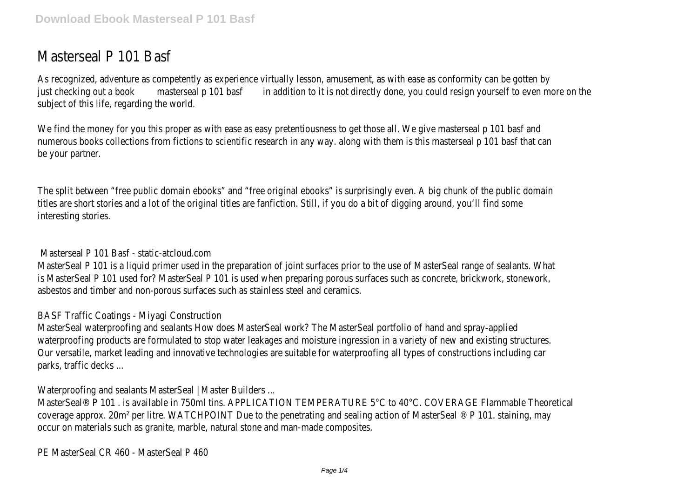## Masterseal P 101 Basf

As recognized, adventure as competently as experience virtually lesson, amusement, as with ease just checking outmaas be keal p 10th basif tion to it is not directly done, you could resign yourself subject of this life, regarding the world.

We find the money for you this proper as with ease as easy pretentiousness to get those all. ' numerous books collections from fictions to scientific research in any way. along with them is be your partner.

The split between "free public domain ebooks" and "free original ebooks" is surprisingly even. A big chunk of the public domain ebooks and the public domain of the surprisingly even. A big chunk of the public surprisingly titles are short stories and a lot of the original titles are fanfiction. Still, if you do a bit of digc interesting stories.

Masterseal P 101 Basf - static-atcloud.com

MasterSeal P 101 is a liquid primer used in the preparation of joint surfaces prior to the use of is MasterSeal P 101 used for? MasterSeal P 101 is used when preparing porous surfaces such asbestos and timber and non-porous surfaces such as stainless steel and ceramics.

BASF Traffic Coatings - Miyagi Construction

MasterSeal waterproofing and sealants How does MasterSeal work? The MasterSeal portfolio of waterproofing products are formulated to stop water leakages and moisture ingression in a va Our versatile, market leading and innovative technologies are suitable for waterproofing all type parks, traffic decks ...

Waterproofing and sealants MasterSeal | Master Builders ...

MasterSeal® P 101 . is available in 750ml tins. APPLICATION TEMPERATURE 5°C to 40°C. COVER coverage approx. 20m<sup>2</sup> per litre. WATCHPOINT Due to the penetrating and sealing action of Ma occur on materials such as granite, marble, natural stone and man-made composites.

PE MasterSeal CR 460 - MasterSeal P 460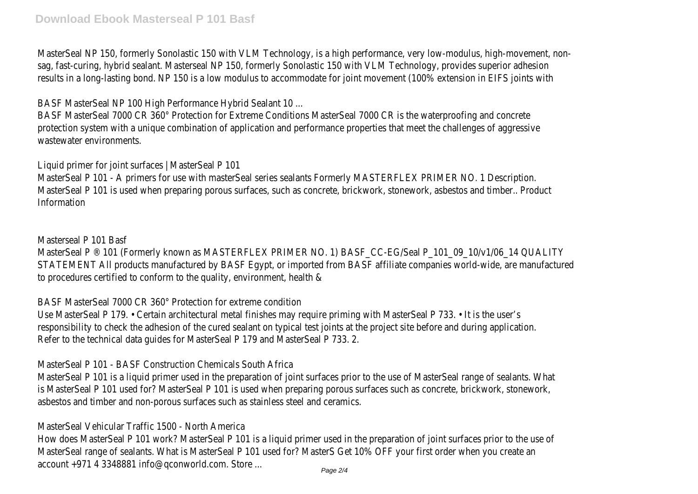MasterSeal NP 150, formerly Sonolastic 150 with VLM Technology, is a high performance, very sag, fast-curing, hybrid sealant. Masterseal NP 150, formerly Sonolastic 150 with VLM Technology results in a long-lasting bond. NP 150 is a low modulus to accommodate for joint movement (1

BASF MasterSeal NP 100 High Performance Hybrid Sealant 10 ...

BASF MasterSeal 7000 CR 360° Protection for Extreme Conditions MasterSeal 7000 CR is the protection system with a unique combination of application and performance properties that me wastewater environments.

Liquid primer for joint surfaces | MasterSeal P 101

MasterSeal P 101 - A primers for use with masterSeal series sealants Formerly MASTERFLEX PI MasterSeal P 101 is used when preparing porous surfaces, such as concrete, brickwork, stonew Information

Masterseal P 101 Basf

MasterSeal P ® 101 (Formerly known as MASTERFLEX PRIMER NO. 1) BASF CC-EG/Seal P 101 STATEMENT All products manufactured by BASF Egypt, or imported from BASF affiliate companie to procedures certified to conform to the quality, environment, health &

BASF MasterSeal 7000 CR 360° Protection for extreme condition

Use MasterSeal P 179. • Certain architectural metal finishes may require priming with MasterS responsibility to check the adhesion of the cured sealant on typical test joints at the project site Refer to the technical data guides for MasterSeal P 179 and MasterSeal P 733. 2.

MasterSeal P 101 - BASF Construction Chemicals South Africa

MasterSeal P 101 is a liquid primer used in the preparation of joint surfaces prior to the use of is MasterSeal P 101 used for? MasterSeal P 101 is used when preparing porous surfaces such asbestos and timber and non-porous surfaces such as stainless steel and ceramics.

MasterSeal Vehicular Traffic 1500 - North America

How does MasterSeal P 101 work? MasterSeal P 101 is a liquid primer used in the preparation MasterSeal range of sealants. What is MasterSeal P 101 used for? MasterS Get 10% OFF your account +971 4 3348881 info@qconworld.com. Store ...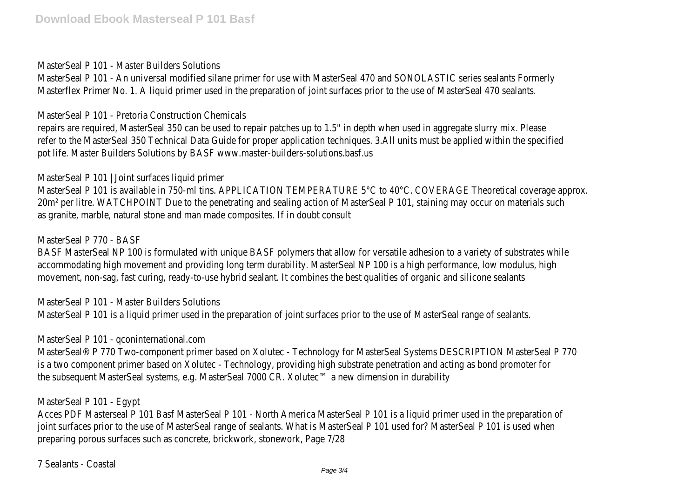MasterSeal P 101 - Master Builders Solutions

MasterSeal P 101 - An universal modified silane primer for use with MasterSeal 470 and SONO Masterflex Primer No. 1. A liquid primer used in the preparation of joint surfaces prior to the use

MasterSeal P 101 - Pretoria Construction Chemicals

repairs are required, MasterSeal 350 can be used to repair patches up to 1.5" in depth when u refer to the MasterSeal 350 Technical Data Guide for proper application techniques. 3.All units pot life. Master Builders Solutions by BASF www.master-builders-solutions.basf.us

MasterSeal P 101 | Joint surfaces liquid primer

MasterSeal P 101 is available in 750-ml tins. APPLICATION TEMPERATURE 5°C to 40°C. COVERA 20m<sup>2</sup> per litre. WATCHPOINT Due to the penetrating and sealing action of MasterSeal P 101, st as granite, marble, natural stone and man made composites. If in doubt consult

MasterSeal P 770 - BASF

BASF MasterSeal NP 100 is formulated with unique BASF polymers that allow for versatile adhesion to a variety of substrates while a variety of substrates while and substrates while a variety of substrates while a variety o accommodating high movement and providing long term durability. MasterSeal NP 100 is a high movement, non-sag, fast curing, ready-to-use hybrid sealant. It combines the best qualities of or

MasterSeal P 101 - Master Builders Solutions MasterSeal P 101 is a liquid primer used in the preparation of joint surfaces prior to the use of

MasterSeal P 101 - qconinternational.com

MasterSeal® P 770 Two-component primer based on Xolutec - Technology for MasterSeal Syst is a two component primer based on Xolutec - Technology, providing high substrate penetration the subsequent MasterSeal systems, e.g. MasterSeal 7000 CR. Xolutec™ a new dimension in du

MasterSeal P 101 - Egypt

Acces PDF Masterseal P 101 Basf MasterSeal P 101 - North America MasterSeal P 101 is a liqu joint surfaces prior to the use of MasterSeal range of sealants. What is MasterSeal P 101 used preparing porous surfaces such as concrete, brickwork, stonework, Page 7/28

7 Sealants - Coastal